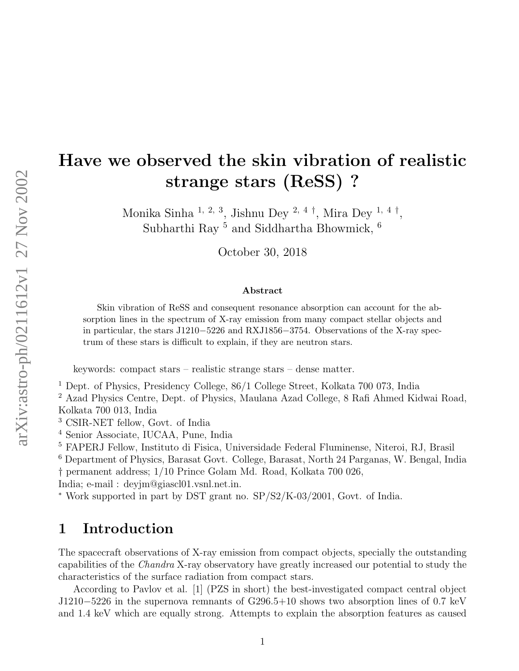# Have we observed the skin vibration of realistic strange stars (ReSS) ?

Monika Sinha <sup>1, 2, 3</sup>, Jishnu Dey <sup>2, 4  $\dagger$ </sup>, Mira Dey <sup>1, 4</sup>  $\dagger$ , Subharthi Ray  $^5$  and Siddhartha Bhowmick,  $^6$ 

October 30, 2018

#### Abstract

Skin vibration of ReSS and consequent resonance absorption can account for the absorption lines in the spectrum of X-ray emission from many compact stellar objects and in particular, the stars J1210−5226 and RXJ1856−3754. Observations of the X-ray spectrum of these stars is difficult to explain, if they are neutron stars.

keywords: compact stars – realistic strange stars – dense matter.

<sup>1</sup> Dept. of Physics, Presidency College, 86/1 College Street, Kolkata 700 073, India

<sup>2</sup> Azad Physics Centre, Dept. of Physics, Maulana Azad College, 8 Rafi Ahmed Kidwai Road, Kolkata 700 013, India

<sup>3</sup> CSIR-NET fellow, Govt. of India

<sup>4</sup> Senior Associate, IUCAA, Pune, India

<sup>5</sup> FAPERJ Fellow, Instituto di Fisica, Universidade Federal Fluminense, Niteroi, RJ, Brasil

<sup>6</sup> Department of Physics, Barasat Govt. College, Barasat, North 24 Parganas, W. Bengal, India † permanent address; 1/10 Prince Golam Md. Road, Kolkata 700 026,

India; e-mail : deyjm@giascl01.vsnl.net.in.

<sup>∗</sup> Work supported in part by DST grant no. SP/S2/K-03/2001, Govt. of India.

### 1 Introduction

The spacecraft observations of X-ray emission from compact objects, specially the outstanding capabilities of the Chandra X-ray observatory have greatly increased our potential to study the characteristics of the surface radiation from compact stars.

According to Pavlov et al. [1] (PZS in short) the best-investigated compact central object J1210−5226 in the supernova remnants of G296.5+10 shows two absorption lines of 0.7 keV and 1.4 keV which are equally strong. Attempts to explain the absorption features as caused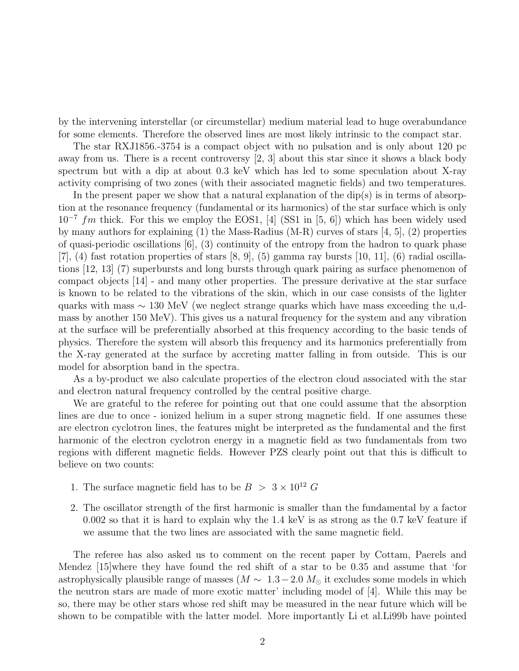by the intervening interstellar (or circumstellar) medium material lead to huge overabundance for some elements. Therefore the observed lines are most likely intrinsic to the compact star.

The star RXJ1856.-3754 is a compact object with no pulsation and is only about 120 pc away from us. There is a recent controversy [2, 3] about this star since it shows a black body spectrum but with a dip at about 0.3 keV which has led to some speculation about X-ray activity comprising of two zones (with their associated magnetic fields) and two temperatures.

In the present paper we show that a natural explanation of the  $dip(s)$  is in terms of absorption at the resonance frequency (fundamental or its harmonics) of the star surface which is only  $10^{-7}$  fm thick. For this we employ the EOS1, [4] (SS1 in [5, 6]) which has been widely used by many authors for explaining (1) the Mass-Radius (M-R) curves of stars [4, 5], (2) properties of quasi-periodic oscillations [6], (3) continuity of the entropy from the hadron to quark phase  $[7]$ ,  $(4)$  fast rotation properties of stars  $[8, 9]$ ,  $(5)$  gamma ray bursts  $[10, 11]$ ,  $(6)$  radial oscillations [12, 13] (7) superbursts and long bursts through quark pairing as surface phenomenon of compact objects [14] - and many other properties. The pressure derivative at the star surface is known to be related to the vibrations of the skin, which in our case consists of the lighter quarks with mass ∼ 130 MeV (we neglect strange quarks which have mass exceeding the u,dmass by another 150 MeV). This gives us a natural frequency for the system and any vibration at the surface will be preferentially absorbed at this frequency according to the basic tends of physics. Therefore the system will absorb this frequency and its harmonics preferentially from the X-ray generated at the surface by accreting matter falling in from outside. This is our model for absorption band in the spectra.

As a by-product we also calculate properties of the electron cloud associated with the star and electron natural frequency controlled by the central positive charge.

We are grateful to the referee for pointing out that one could assume that the absorption lines are due to once - ionized helium in a super strong magnetic field. If one assumes these are electron cyclotron lines, the features might be interpreted as the fundamental and the first harmonic of the electron cyclotron energy in a magnetic field as two fundamentals from two regions with different magnetic fields. However PZS clearly point out that this is difficult to believe on two counts:

- 1. The surface magnetic field has to be  $B > 3 \times 10^{12} G$
- 2. The oscillator strength of the first harmonic is smaller than the fundamental by a factor 0.002 so that it is hard to explain why the 1.4 keV is as strong as the 0.7 keV feature if we assume that the two lines are associated with the same magnetic field.

The referee has also asked us to comment on the recent paper by Cottam, Paerels and Mendez [15]where they have found the red shift of a star to be 0.35 and assume that 'for astrophysically plausible range of masses ( $M \sim 1.3-2.0 M_{\odot}$  it excludes some models in which the neutron stars are made of more exotic matter' including model of [4]. While this may be so, there may be other stars whose red shift may be measured in the near future which will be shown to be compatible with the latter model. More importantly Li et al.Li99b have pointed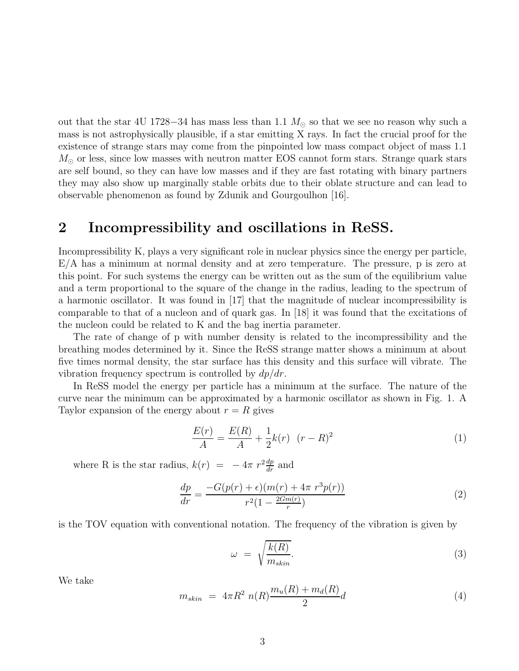out that the star 4U 1728–34 has mass less than 1.1  $M_{\odot}$  so that we see no reason why such a mass is not astrophysically plausible, if a star emitting X rays. In fact the crucial proof for the existence of strange stars may come from the pinpointed low mass compact object of mass 1.1  $M_{\odot}$  or less, since low masses with neutron matter EOS cannot form stars. Strange quark stars are self bound, so they can have low masses and if they are fast rotating with binary partners they may also show up marginally stable orbits due to their oblate structure and can lead to observable phenomenon as found by Zdunik and Gourgoulhon [16].

### 2 Incompressibility and oscillations in ReSS.

Incompressibility K, plays a very significant role in nuclear physics since the energy per particle, E/A has a minimum at normal density and at zero temperature. The pressure, p is zero at this point. For such systems the energy can be written out as the sum of the equilibrium value and a term proportional to the square of the change in the radius, leading to the spectrum of a harmonic oscillator. It was found in [17] that the magnitude of nuclear incompressibility is comparable to that of a nucleon and of quark gas. In [18] it was found that the excitations of the nucleon could be related to K and the bag inertia parameter.

The rate of change of p with number density is related to the incompressibility and the breathing modes determined by it. Since the ReSS strange matter shows a minimum at about five times normal density, the star surface has this density and this surface will vibrate. The vibration frequency spectrum is controlled by  $dp/dr$ .

In ReSS model the energy per particle has a minimum at the surface. The nature of the curve near the minimum can be approximated by a harmonic oscillator as shown in Fig. 1. A Taylor expansion of the energy about  $r = R$  gives

$$
\frac{E(r)}{A} = \frac{E(R)}{A} + \frac{1}{2}k(r) \quad (r - R)^2
$$
 (1)

where R is the star radius,  $k(r) = -4\pi r^2 \frac{dp}{dr}$  and

$$
\frac{dp}{dr} = \frac{-G(p(r) + \epsilon)(m(r) + 4\pi r^3 p(r))}{r^2 (1 - \frac{2Gm(r)}{r})}
$$
\n(2)

is the TOV equation with conventional notation. The frequency of the vibration is given by

$$
\omega = \sqrt{\frac{k(R)}{m_{skin}}}.\tag{3}
$$

We take

$$
m_{skin} = 4\pi R^2 n(R) \frac{m_u(R) + m_d(R)}{2} d \tag{4}
$$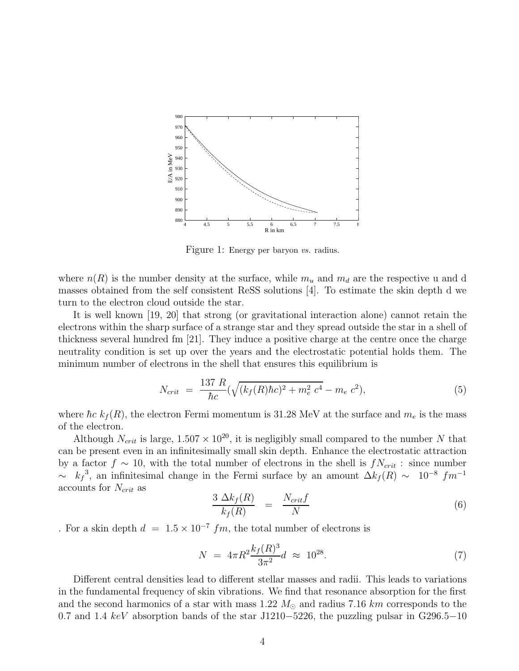

Figure 1: Energy per baryon vs. radius.

where  $n(R)$  is the number density at the surface, while  $m_u$  and  $m_d$  are the respective u and d masses obtained from the self consistent ReSS solutions [4]. To estimate the skin depth d we turn to the electron cloud outside the star.

It is well known [19, 20] that strong (or gravitational interaction alone) cannot retain the electrons within the sharp surface of a strange star and they spread outside the star in a shell of thickness several hundred fm [21]. They induce a positive charge at the centre once the charge neutrality condition is set up over the years and the electrostatic potential holds them. The minimum number of electrons in the shell that ensures this equilibrium is

$$
N_{crit} = \frac{137 \ R}{\hbar c} (\sqrt{(k_f(R)\hbar c)^2 + m_e^2 \ c^4} - m_e \ c^2), \tag{5}
$$

where  $\hbar c k_f (R)$ , the electron Fermi momentum is 31.28 MeV at the surface and  $m_e$  is the mass of the electron.

Although  $N_{crit}$  is large,  $1.507 \times 10^{20}$ , it is negligibly small compared to the number N that can be present even in an infinitesimally small skin depth. Enhance the electrostatic attraction by a factor  $f \sim 10$ , with the total number of electrons in the shell is  $f_{\text{Vert}}$  : since number  $\sim k_f^3$ , an infinitesimal change in the Fermi surface by an amount  $\Delta k_f(R) \sim 10^{-8}$  fm<sup>-1</sup> accounts for  $N_{crit}$  as

$$
\frac{3 \Delta k_f(R)}{k_f(R)} = \frac{N_{crit}f}{N} \tag{6}
$$

. For a skin depth  $d = 1.5 \times 10^{-7}$  fm, the total number of electrons is

$$
N = 4\pi R^2 \frac{k_f(R)^3}{3\pi^2} d \approx 10^{28}.
$$
 (7)

Different central densities lead to different stellar masses and radii. This leads to variations in the fundamental frequency of skin vibrations. We find that resonance absorption for the first and the second harmonics of a star with mass 1.22  $M_{\odot}$  and radius 7.16 km corresponds to the 0.7 and 1.4 keV absorption bands of the star J1210−5226, the puzzling pulsar in G296.5−10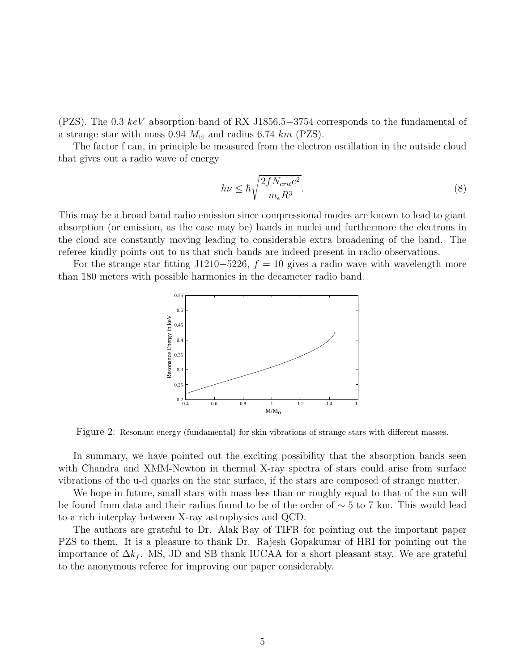(PZS). The 0.3 keV absorption band of RX J1856.5−3754 corresponds to the fundamental of a strange star with mass 0.94  $M_{\odot}$  and radius 6.74 km (PZS).

The factor f can, in principle be measured from the electron oscillation in the outside cloud that gives out a radio wave of energy

$$
h\nu \leq \hbar \sqrt{\frac{2fN_{crit}e^2}{m_eR^3}}.\tag{8}
$$

This may be a broad band radio emission since compressional modes are known to lead to giant absorption (or emission, as the case may be) bands in nuclei and furthermore the electrons in the cloud are constantly moving leading to considerable extra broadening of the band. The referee kindly points out to us that such bands are indeed present in radio observations.

For the strange star fitting J1210−5226,  $f = 10$  gives a radio wave with wavelength more than 180 meters with possible harmonics in the decameter radio band.



Figure 2: Resonant energy (fundamental) for skin vibrations of strange stars with different masses.

In summary, we have pointed out the exciting possibility that the absorption bands seen with Chandra and XMM-Newton in thermal X-ray spectra of stars could arise from surface vibrations of the u-d quarks on the star surface, if the stars are composed of strange matter.

We hope in future, small stars with mass less than or roughly equal to that of the sun will be found from data and their radius found to be of the order of ∼ 5 to 7 km. This would lead to a rich interplay between X-ray astrophysics and QCD.

The authors are grateful to Dr. Alak Ray of TIFR for pointing out the important paper PZS to them. It is a pleasure to thank Dr. Rajesh Gopakumar of HRI for pointing out the importance of  $\Delta k_f$ . MS, JD and SB thank IUCAA for a short pleasant stay. We are grateful to the anonymous referee for improving our paper considerably.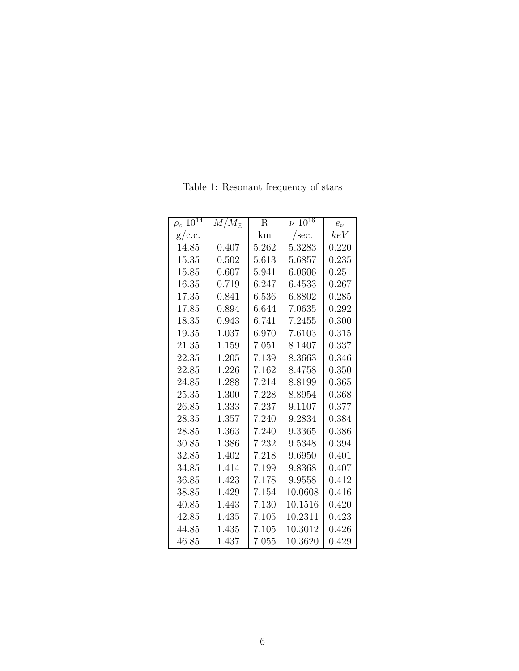| $\rho_c$ $10^{14}$ | $\overline{M}/M_{\odot}$ | R     | $\nu \, \overline{10^{16}}$ | $e_{\nu}$ |
|--------------------|--------------------------|-------|-----------------------------|-----------|
| g/c.c.             |                          | km    | /sec.                       | keV       |
| 14.85              | 0.407                    | 5.262 | 5.3283                      | 0.220     |
| 15.35              | 0.502                    | 5.613 | 5.6857                      | 0.235     |
| 15.85              | 0.607                    | 5.941 | 6.0606                      | 0.251     |
| 16.35              | 0.719                    | 6.247 | 6.4533                      | 0.267     |
| 17.35              | 0.841                    | 6.536 | 6.8802                      | 0.285     |
| 17.85              | 0.894                    | 6.644 | 7.0635                      | 0.292     |
| 18.35              | 0.943                    | 6.741 | 7.2455                      | 0.300     |
| 19.35              | 1.037                    | 6.970 | 7.6103                      | 0.315     |
| 21.35              | 1.159                    | 7.051 | 8.1407                      | 0.337     |
| 22.35              | 1.205                    | 7.139 | 8.3663                      | 0.346     |
| 22.85              | 1.226                    | 7.162 | 8.4758                      | 0.350     |
| 24.85              | 1.288                    | 7.214 | 8.8199                      | 0.365     |
| 25.35              | 1.300                    | 7.228 | 8.8954                      | 0.368     |
| 26.85              | 1.333                    | 7.237 | 9.1107                      | 0.377     |
| 28.35              | 1.357                    | 7.240 | 9.2834                      | 0.384     |
| 28.85              | 1.363                    | 7.240 | 9.3365                      | 0.386     |
| 30.85              | 1.386                    | 7.232 | 9.5348                      | 0.394     |
| 32.85              | 1.402                    | 7.218 | 9.6950                      | 0.401     |
| 34.85              | 1.414                    | 7.199 | 9.8368                      | 0.407     |
| 36.85              | 1.423                    | 7.178 | 9.9558                      | 0.412     |
| 38.85              | 1.429                    | 7.154 | 10.0608                     | 0.416     |
| 40.85              | 1.443                    | 7.130 | 10.1516                     | 0.420     |
| 42.85              | 1.435                    | 7.105 | 10.2311                     | 0.423     |
| 44.85              | 1.435                    | 7.105 | 10.3012                     | 0.426     |
| 46.85              | 1.437                    | 7.055 | 10.3620                     | 0.429     |

Table 1: Resonant frequency of stars